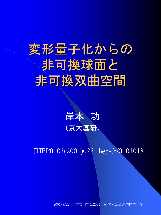# 変形量子化からの 非可換球面と 非可換双曲空間



# JHEP0103(2001)025 hep-th/0103018

2001/9/22 日本物理学会2001年秋季大会@沖縄国際大学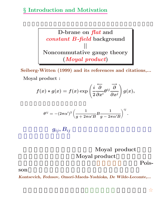### *§* **Introduction and Motivation**



**Seiberg-Witten (1999) and its references and citations,... Moyal product :**

$$
f(x)*g(x)=f(x)\exp\left(\frac{i}{2}\overleftrightarrow{\frac{\partial}{\partial x^i}}\theta^{ij}\overrightarrow{\frac{\partial}{\partial x^j}}\right)g(x),
$$

$$
\theta^{ij}=-(2\pi\alpha')^2\left(\frac{1}{g+2\pi\alpha'B}B\frac{1}{g-2\pi\alpha'B}\right)^{ij}
$$

 $g_{ij}, B_{ii}$ 

# Moyal product **Moyal product**

として変形量子化の手法があり、原理的には任意の**Pois-**

*.*

son son

*Kontsevich, Fedosov, Omori-Maeda-Yoshioka, De Wilde-Lecomte,...*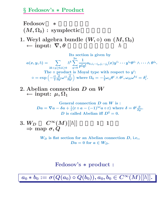#### *§* **Fedosov's** *∗* **Product**

**Fedosov** \*  $(M, \Omega_0)$  : symplectic

**1.** Weyl algebra bundle  $(W, ∘)$  on  $(M, ∩_0)$ <br>← input:  $\nabla, \theta$  $\leftarrow$  **input:**  $\nabla$ ,  $\theta$ 

**Its section is given by**  $a(x, y, \hbar) = \sum$ **2***k***+***p≥***0***,k≥***0**  $h^k$ **2***n q***=0 1**  $\frac{1}{p! q!} a_{k,i_1\cdots i_p,j_1\cdots j_q}(x) y^{i_1}\cdots y^{i_p} \theta^{j_1}\wedge \cdots \wedge \theta^{j_q}.$ The  $\circ$  **product** is Moyal type with respect to  $y^i$ :  $\circ = \exp\left(-\frac{i\hbar}{2}\right)$ *←− ∂ ∂yiωij −→<sup>∂</sup> ∂y<sup>j</sup>*  $\left.\left.\vphantom{\frac{\partial^2}{\partial s^2}}\right) \text{ where } \Omega_0=-\tfrac{1}{2}\omega_{ij}\theta^i\wedge\theta^j,\omega_{ik}\omega^{kj}=\delta_i^j.$ 

**2. Abelian connection** *D* **on** *W ←* **input:** *µ,* **Ω1**

> **General connection** *D* **on** *W* **is :**  $Da=\nabla a-\delta a+\frac{i}{\hbar}(\textbf{r}\circ a-(-1)^{|a|}a\circ \textbf{r}) \,\,\text{where}\,\,\delta=\theta^i\frac{\partial}{\partial y^i}.$ *D* is called Abelian iff  $D^2 = 0$ .

**3.**  $W_D$   $C^{\infty}(M)[[\hbar]]$  1 1 *⇒* **map** *σ, Q*

> *WD* **is flat section for an Abelian connection** *D***, i.e,,**  $Da = 0$  for  $a \in W_D$ .

#### **Fedosov's** *∗* **product :**

 $a_0 * b_0 := \sigma(Q(a_0) \circ Q(b_0)), a_0, b_0 \in C^{\infty}(M)[[\hbar]].$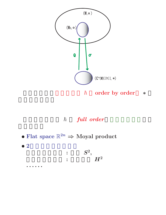

# h full order

 $\bullet$  Flat space  $\mathbb{R}^{2n} \Rightarrow$  Moyal product  $\bullet$  2

> $\ddot{\bullet}$  $\ddot{\cdot}$

$$
\begin{aligned} S^2,\\ H^2 \end{aligned}
$$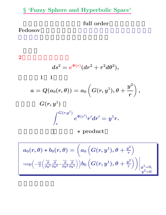# *§* **'Fuzzy Sphere and Hyperbolic Space'**

full order

### Fedosov

#### **2**次元回転対称な空間

$$
ds^2=e^{\Phi(r)}(dr^2+r^2d\theta^2),\\1\quad 1\\
$$

$$
a=Q(a_0(r,\theta))=a_0\left(G(r,y^1),\theta+\frac{y^2}{r}\right),\\G(r,y^1)\\ \int_r^{G(r,y^1)}e^{\Phi(r')}r'dr'=y^1r.
$$

で計算できる。)となり *∗* **product**

$$
a_0(r,\theta)*b_0(r,\theta)=\bigg(a_0\left(G(r,y^1),\theta+\tfrac{y^2}{r}\right)\\ \cdot\exp\Bigl(-\tfrac{i\hbar}{2}\Bigl(\tfrac{\overleftarrow\partial}{\partial y^1}\tfrac{\overrightarrow\partial}{\partial y^2}-\tfrac{\overleftarrow\partial}{\partial y^2}\tfrac{\overrightarrow\partial}{\partial y^1}\Bigr)\Bigr)\Bigr)b_0\left(G(r,y^1),\theta+\tfrac{y^2}{r}\right)\biggr)\bigg|_{\substack{y^1=0,\\ y^2=0}}
$$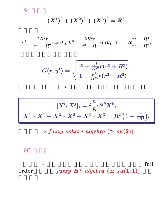$$
(X^1)^2 + (X^2)^2 + (X^3)^2 = R^2
$$

$$
X^1=\frac{2R^2r}{r^2+R^2}\cos\theta\,\,,X^2=\frac{2R^2r}{r^2+R^2}\sin\theta,\,\,X^3=R\frac{r^2-R^2}{r^2+R^2},
$$

$$
G(r,y^1)=\sqrt{\frac{r^2+\frac{y^1}{2R^2}r(r^2+R^2)}{1-\frac{y^1}{2R^4}r(r^2+R^2)}}.
$$

となり、あらわな *∗* 積の表式が求まる。これを用いて

$$
[X^{i},X^{j}]_{\ast}=i\frac{\hbar}{R}\varepsilon^{ijk}X^{k},\\X^{1}\ast X^{1}+X^{2}\ast X^{2}+X^{3}\ast X^{3}=R^{2}\left(1-\frac{\hbar^{2}}{4R^{4}}\right).
$$

 $\Rightarrow$  *fuzzy sphere algebra*  $(\simeq su(2))$ 

 $H^2$ 

$$
\begin{array}{ll}\n & \ast \qquad \qquad \text{full} \\
\text{order} & \qquad \text{fuzzy } H^2 \text{ algebra } (\simeq \text{ su}(1,1))\n \end{array}
$$

 $S^2$